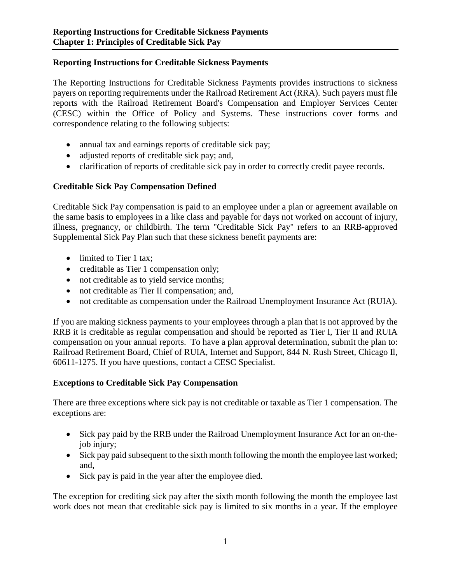## **Reporting Instructions for Creditable Sickness Payments**

The Reporting Instructions for Creditable Sickness Payments provides instructions to sickness payers on reporting requirements under the Railroad Retirement Act (RRA). Such payers must file reports with the Railroad Retirement Board's Compensation and Employer Services Center (CESC) within the Office of Policy and Systems. These instructions cover forms and correspondence relating to the following subjects:

- annual tax and earnings reports of creditable sick pay;
- adjusted reports of creditable sick pay; and,
- clarification of reports of creditable sick pay in order to correctly credit payee records.

## **Creditable Sick Pay Compensation Defined**

Creditable Sick Pay compensation is paid to an employee under a plan or agreement available on the same basis to employees in a like class and payable for days not worked on account of injury, illness, pregnancy, or childbirth. The term "Creditable Sick Pay" refers to an RRB-approved Supplemental Sick Pay Plan such that these sickness benefit payments are:

- limited to Tier 1 tax;
- creditable as Tier 1 compensation only;
- not creditable as to yield service months;
- not creditable as Tier II compensation; and,
- not creditable as compensation under the Railroad Unemployment Insurance Act (RUIA).

If you are making sickness payments to your employees through a plan that is not approved by the RRB it is creditable as regular compensation and should be reported as Tier I, Tier II and RUIA compensation on your annual reports. To have a plan approval determination, submit the plan to: Railroad Retirement Board, Chief of RUIA, Internet and Support, 844 N. Rush Street, Chicago Il, 60611-1275. If you have questions, contact a CESC Specialist.

## **Exceptions to Creditable Sick Pay Compensation**

There are three exceptions where sick pay is not creditable or taxable as Tier 1 compensation. The exceptions are:

- Sick pay paid by the RRB under the Railroad Unemployment Insurance Act for an on-thejob injury;
- Sick pay paid subsequent to the sixth month following the month the employee last worked; and,
- Sick pay is paid in the year after the employee died.

The exception for crediting sick pay after the sixth month following the month the employee last work does not mean that creditable sick pay is limited to six months in a year. If the employee